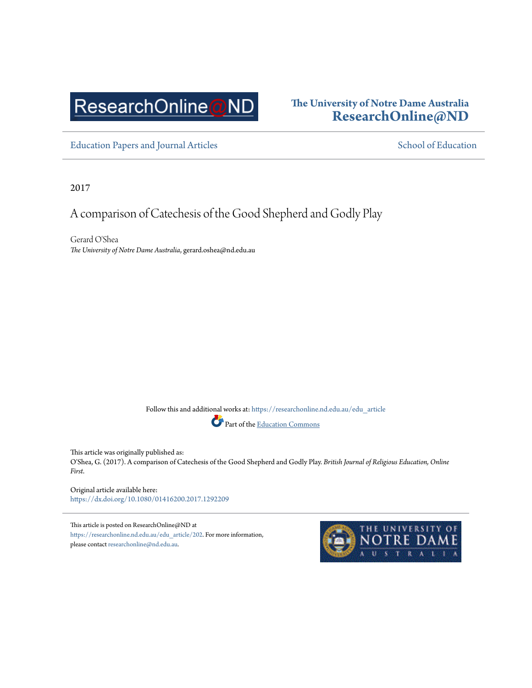# ResearchOnline@ND

# **The University of Notre Dame Australia [ResearchOnline@ND](https://researchonline.nd.edu.au?utm_source=researchonline.nd.edu.au%2Fedu_article%2F202&utm_medium=PDF&utm_campaign=PDFCoverPages)**

[Education Papers and Journal Articles](https://researchonline.nd.edu.au/edu_article?utm_source=researchonline.nd.edu.au%2Fedu_article%2F202&utm_medium=PDF&utm_campaign=PDFCoverPages) [School of Education](https://researchonline.nd.edu.au/edu?utm_source=researchonline.nd.edu.au%2Fedu_article%2F202&utm_medium=PDF&utm_campaign=PDFCoverPages) School of Education

2017

# A comparison of Catechesis of the Good Shepherd and Godly Play

Gerard O'Shea *The University of Notre Dame Australia*, gerard.oshea@nd.edu.au

> Follow this and additional works at: [https://researchonline.nd.edu.au/edu\\_article](https://researchonline.nd.edu.au/edu_article?utm_source=researchonline.nd.edu.au%2Fedu_article%2F202&utm_medium=PDF&utm_campaign=PDFCoverPages) Part of the [Education Commons](http://network.bepress.com/hgg/discipline/784?utm_source=researchonline.nd.edu.au%2Fedu_article%2F202&utm_medium=PDF&utm_campaign=PDFCoverPages)

This article was originally published as: O'Shea, G. (2017). A comparison of Catechesis of the Good Shepherd and Godly Play. *British Journal of Religious Education, Online First*.

Original article available here: <https://dx.doi.org/10.1080/01416200.2017.1292209>

This article is posted on ResearchOnline@ND at [https://researchonline.nd.edu.au/edu\\_article/202](https://researchonline.nd.edu.au/edu_article/202). For more information, please contact [researchonline@nd.edu.au](mailto:researchonline@nd.edu.au).

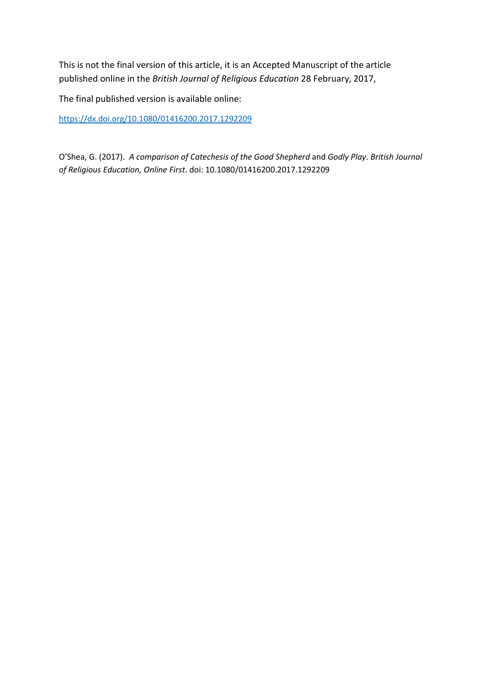This is not the final version of this article, it is an Accepted Manuscript of the article published online in the *British Journal of Religious Education* 28 February, 2017,

The final published version is available online:

<https://dx.doi.org/10.1080/01416200.2017.1292209>

O'Shea, G. (2017). *A comparison of Catechesis of the Good Shepherd* and *Godly Play*. *British Journal of Religious Education, Online First*. doi: 10.1080/01416200.2017.1292209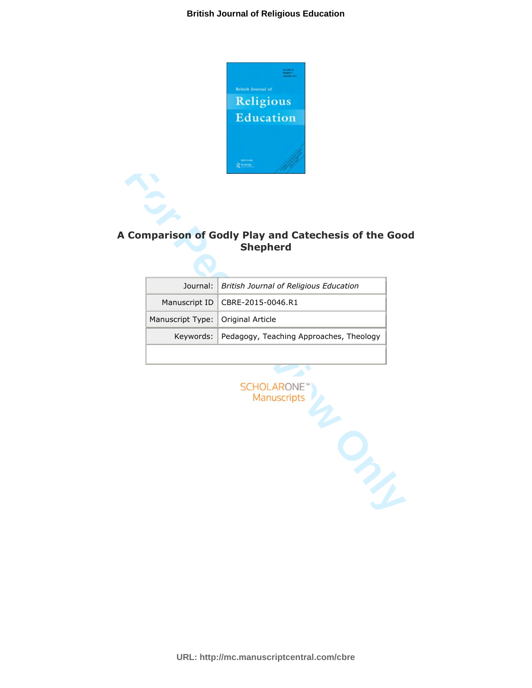

# **A Comparison of Godly Play and Catechesis of the Good Shepherd**

|                                     | Journal:   British Journal of Religious Education |
|-------------------------------------|---------------------------------------------------|
|                                     | Manuscript ID   CBRE-2015-0046.R1                 |
| Manuscript Type:   Original Article |                                                   |
|                                     | Keywords: Pedagogy, Teaching Approaches, Theology |
|                                     |                                                   |

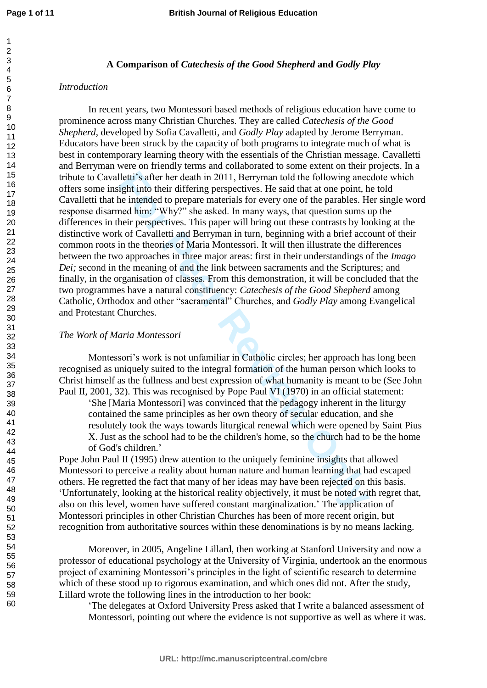#### **A Comparison of** *Catechesis of the Good Shepherd* **and** *Godly Play*

#### *Introduction*

lletti's after her death in 2011, Berryman told the following aneed their differing perspectives. He said that at one point, the pricing the intended to prepare materials for every one of the parables. He metal that the in In recent years, two Montessori based methods of religious education have come to prominence across many Christian Churches. They are called *Catechesis of the Good Shepherd*, developed by Sofia Cavalletti, and *Godly Play* adapted by Jerome Berryman. Educators have been struck by the capacity of both programs to integrate much of what is best in contemporary learning theory with the essentials of the Christian message. Cavalletti and Berryman were on friendly terms and collaborated to some extent on their projects. In a tribute to Cavalletti's after her death in 2011, Berryman told the following anecdote which offers some insight into their differing perspectives. He said that at one point, he told Cavalletti that he intended to prepare materials for every one of the parables. Her single word response disarmed him: "Why?" she asked. In many ways, that question sums up the differences in their perspectives. This paper will bring out these contrasts by looking at the distinctive work of Cavalletti and Berryman in turn, beginning with a brief account of their common roots in the theories of Maria Montessori. It will then illustrate the differences between the two approaches in three major areas: first in their understandings of the *Imago Dei*; second in the meaning of and the link between sacraments and the Scriptures; and finally, in the organisation of classes. From this demonstration, it will be concluded that the two programmes have a natural constituency: *Catechesis of the Good Shepherd* among Catholic, Orthodox and other "sacramental" Churches, and *Godly Play* among Evangelical and Protestant Churches.

#### *The Work of Maria Montessori*

Montessori's work is not unfamiliar in Catholic circles; her approach has long been recognised as uniquely suited to the integral formation of the human person which looks to Christ himself as the fullness and best expression of what humanity is meant to be (See John Paul II, 2001, 32). This was recognised by Pope Paul VI (1970) in an official statement:

'She [Maria Montessori] was convinced that the pedagogy inherent in the liturgy contained the same principles as her own theory of secular education, and she resolutely took the ways towards liturgical renewal which were opened by Saint Pius X. Just as the school had to be the children's home, so the church had to be the home of God's children.'

Pope John Paul II (1995) drew attention to the uniquely feminine insights that allowed Montessori to perceive a reality about human nature and human learning that had escaped others. He regretted the fact that many of her ideas may have been rejected on this basis. 'Unfortunately, looking at the historical reality objectively, it must be noted with regret that, also on this level, women have suffered constant marginalization.' The application of Montessori principles in other Christian Churches has been of more recent origin, but recognition from authoritative sources within these denominations is by no means lacking.

Moreover, in 2005, Angeline Lillard, then working at Stanford University and now a professor of educational psychology at the University of Virginia, undertook an the enormous project of examining Montessori's principles in the light of scientific research to determine which of these stood up to rigorous examination, and which ones did not. After the study, Lillard wrote the following lines in the introduction to her book:

'The delegates at Oxford University Press asked that I write a balanced assessment of Montessori, pointing out where the evidence is not supportive as well as where it was.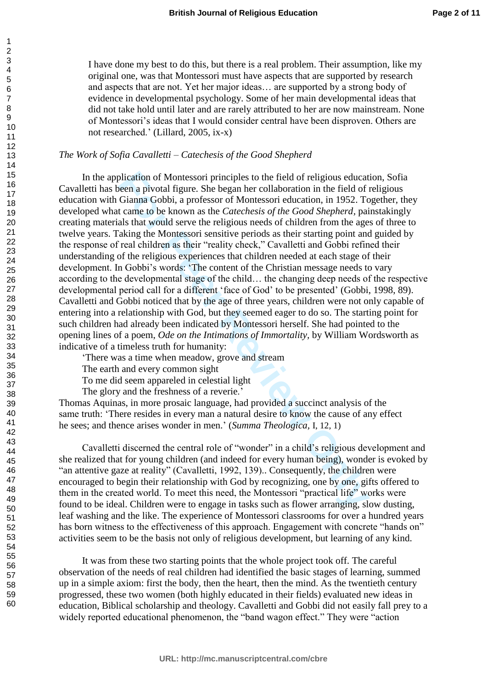I have done my best to do this, but there is a real problem. Their assumption, like my original one, was that Montessori must have aspects that are supported by research and aspects that are not. Yet her major ideas… are supported by a strong body of evidence in developmental psychology. Some of her main developmental ideas that did not take hold until later and are rarely attributed to her are now mainstream. None of Montessori's ideas that I would consider central have been disproven. Others are not researched.' (Lillard, 2005, ix-x)

#### *The Work of Sofia Cavalletti – Catechesis of the Good Shepherd*

plication of Montessori principles to the field of religious educat<br>een a privoal figure. She began her collaboration in the field of<br>Ciaman Gobbi, a professor of Montessori education, in 1952. Tc<br>came to be known as the In the application of Montessori principles to the field of religious education, Sofia Cavalletti has been a pivotal figure. She began her collaboration in the field of religious education with Gianna Gobbi, a professor of Montessori education, in 1952. Together, they developed what came to be known as the *Catechesis of the Good Shepherd,* painstakingly creating materials that would serve the religious needs of children from the ages of three to twelve years. Taking the Montessori sensitive periods as their starting point and guided by the response of real children as their "reality check," Cavalletti and Gobbi refined their understanding of the religious experiences that children needed at each stage of their development. In Gobbi's words: 'The content of the Christian message needs to vary according to the developmental stage of the child… the changing deep needs of the respective developmental period call for a different 'face of God' to be presented' (Gobbi, 1998, 89). Cavalletti and Gobbi noticed that by the age of three years, children were not only capable of entering into a relationship with God, but they seemed eager to do so. The starting point for such children had already been indicated by Montessori herself. She had pointed to the opening lines of a poem, *Ode on the Intimations of Immortality,* by William Wordsworth as indicative of a timeless truth for humanity:

'There was a time when meadow, grove and stream

The earth and every common sight

To me did seem appareled in celestial light

The glory and the freshness of a reverie.'

Thomas Aquinas, in more prosaic language, had provided a succinct analysis of the same truth: 'There resides in every man a natural desire to know the cause of any effect he sees; and thence arises wonder in men.' (*Summa Theologica,* I, 12, 1)

Cavalletti discerned the central role of "wonder" in a child's religious development and she realized that for young children (and indeed for every human being), wonder is evoked by "an attentive gaze at reality" (Cavalletti, 1992, 139).. Consequently, the children were encouraged to begin their relationship with God by recognizing, one by one, gifts offered to them in the created world. To meet this need, the Montessori "practical life" works were found to be ideal. Children were to engage in tasks such as flower arranging, slow dusting, leaf washing and the like. The experience of Montessori classrooms for over a hundred years has born witness to the effectiveness of this approach. Engagement with concrete "hands on" activities seem to be the basis not only of religious development, but learning of any kind.

It was from these two starting points that the whole project took off. The careful observation of the needs of real children had identified the basic stages of learning, summed up in a simple axiom: first the body, then the heart, then the mind. As the twentieth century progressed, these two women (both highly educated in their fields) evaluated new ideas in education, Biblical scholarship and theology. Cavalletti and Gobbi did not easily fall prey to a widely reported educational phenomenon, the "band wagon effect." They were "action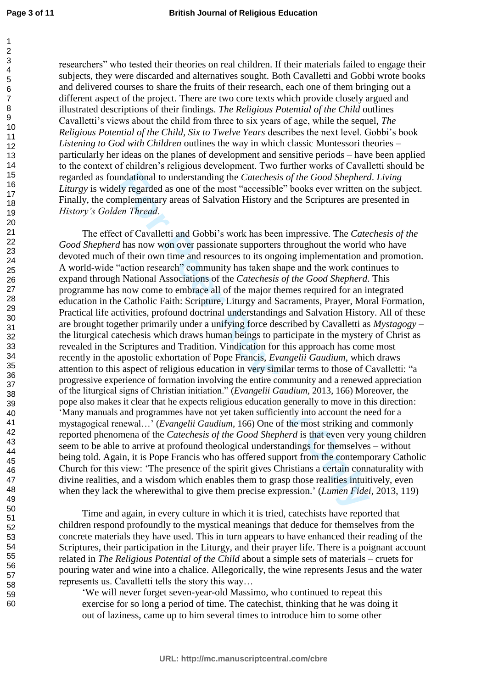researchers" who tested their theories on real children. If their materials failed to engage their subjects, they were discarded and alternatives sought. Both Cavalletti and Gobbi wrote books and delivered courses to share the fruits of their research, each one of them bringing out a different aspect of the project. There are two core texts which provide closely argued and illustrated descriptions of their findings. *The Religious Potential of the Child* outlines Cavalletti's views about the child from three to six years of age, while the sequel, *The Religious Potential of the Child, Six to Twelve Years* describes the next level. Gobbi's book *Listening to God with Children* outlines the way in which classic Montessori theories – particularly her ideas on the planes of development and sensitive periods – have been applied to the context of children's religious development. Two further works of Cavalletti should be regarded as foundational to understanding the *Catechesis of the Good Shepherd*. *Living Liturgy* is widely regarded as one of the most "accessible" books ever written on the subject. Finally, the complementary areas of Salvation History and the Scriptures are presented in *History's Golden Thread.* 

mdational to understanding the *Catechesis of the Good Shepherc*<br>ly regarded as one of the most "accessible" books ever written or<br>phementary areas of Salvation History and the Scriptures are pr<br>*ne Thread.*<br>*For Cavallett* The effect of Cavalletti and Gobbi's work has been impressive. The *Catechesis of the Good Shepherd* has now won over passionate supporters throughout the world who have devoted much of their own time and resources to its ongoing implementation and promotion. A world-wide "action research" community has taken shape and the work continues to expand through National Associations of the *Catechesis of the Good Shepherd*. This programme has now come to embrace all of the major themes required for an integrated education in the Catholic Faith: Scripture, Liturgy and Sacraments, Prayer, Moral Formation, Practical life activities, profound doctrinal understandings and Salvation History. All of these are brought together primarily under a unifying force described by Cavalletti as *Mystagogy* – the liturgical catechesis which draws human beings to participate in the mystery of Christ as revealed in the Scriptures and Tradition. Vindication for this approach has come most recently in the apostolic exhortation of Pope Francis, *Evangelii Gaudium*, which draws attention to this aspect of religious education in very similar terms to those of Cavalletti: "a progressive experience of formation involving the entire community and a renewed appreciation of the liturgical signs of Christian initiation." (*Evangelii Gaudium,* 2013, 166) Moreover, the pope also makes it clear that he expects religious education generally to move in this direction: 'Many manuals and programmes have not yet taken sufficiently into account the need for a mystagogical renewal…' (*Evangelii Gaudium*, 166) One of the most striking and commonly reported phenomena of the *Catechesis of the Good Shepherd* is that even very young children seem to be able to arrive at profound theological understandings for themselves – without being told. Again, it is Pope Francis who has offered support from the contemporary Catholic Church for this view: 'The presence of the spirit gives Christians a certain connaturality with divine realities, and a wisdom which enables them to grasp those realities intuitively, even when they lack the wherewithal to give them precise expression.' (*Lumen Fidei,* 2013, 119)

Time and again, in every culture in which it is tried, catechists have reported that children respond profoundly to the mystical meanings that deduce for themselves from the concrete materials they have used. This in turn appears to have enhanced their reading of the Scriptures, their participation in the Liturgy, and their prayer life. There is a poignant account related in *The Religious Potential of the Child* about a simple sets of materials – cruets for pouring water and wine into a chalice. Allegorically, the wine represents Jesus and the water represents us. Cavalletti tells the story this way…

'We will never forget seven-year-old Massimo, who continued to repeat this exercise for so long a period of time. The catechist, thinking that he was doing it out of laziness, came up to him several times to introduce him to some other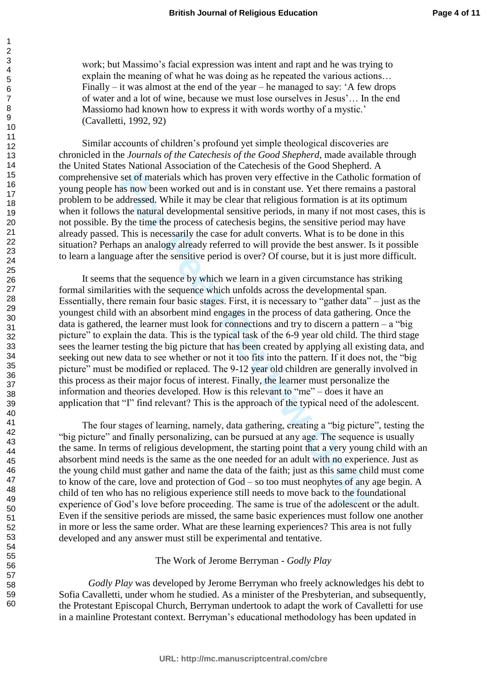work; but Massimo's facial expression was intent and rapt and he was trying to explain the meaning of what he was doing as he repeated the various actions… Finally – it was almost at the end of the year – he managed to say:  $A$  few drops of water and a lot of wine, because we must lose ourselves in Jesus'… In the end Massiomo had known how to express it with words worthy of a mystic.' (Cavalletti, 1992, 92)

Similar accounts of children's profound yet simple theological discoveries are chronicled in the *Journals of the Catechesis of the Good Shepherd*, made available through the United States National Association of the Catechesis of the Good Shepherd. A comprehensive set of materials which has proven very effective in the Catholic formation of young people has now been worked out and is in constant use. Yet there remains a pastoral problem to be addressed. While it may be clear that religious formation is at its optimum when it follows the natural developmental sensitive periods, in many if not most cases, this is not possible. By the time the process of catechesis begins, the sensitive period may have already passed. This is necessarily the case for adult converts. What is to be done in this situation? Perhaps an analogy already referred to will provide the best answer. Is it possible to learn a language after the sensitive period is over? Of course, but it is just more difficult.

set of materials which has proven very effective in the Catholic<br>as now been worked out and is in constant use. Yet there remain<br>addednessed. While it may be clear that religious formation is at its<br>net and the natural dev It seems that the sequence by which we learn in a given circumstance has striking formal similarities with the sequence which unfolds across the developmental span. Essentially, there remain four basic stages. First, it is necessary to "gather data" – just as the youngest child with an absorbent mind engages in the process of data gathering. Once the data is gathered, the learner must look for connections and try to discern a pattern  $-$  a "big" picture" to explain the data. This is the typical task of the 6-9 year old child. The third stage sees the learner testing the big picture that has been created by applying all existing data, and seeking out new data to see whether or not it too fits into the pattern. If it does not, the "big picture" must be modified or replaced. The 9-12 year old children are generally involved in this process as their major focus of interest. Finally, the learner must personalize the information and theories developed. How is this relevant to "me" – does it have an application that "I" find relevant? This is the approach of the typical need of the adolescent.

The four stages of learning, namely, data gathering, creating a "big picture", testing the "big picture" and finally personalizing, can be pursued at any age. The sequence is usually the same. In terms of religious development, the starting point that a very young child with an absorbent mind needs is the same as the one needed for an adult with no experience. Just as the young child must gather and name the data of the faith; just as this same child must come to know of the care, love and protection of God – so too must neophytes of any age begin. A child of ten who has no religious experience still needs to move back to the foundational experience of God's love before proceeding. The same is true of the adolescent or the adult. Even if the sensitive periods are missed, the same basic experiences must follow one another in more or less the same order. What are these learning experiences? This area is not fully developed and any answer must still be experimental and tentative.

The Work of Jerome Berryman - *Godly Play*

*Godly Play* was developed by Jerome Berryman who freely acknowledges his debt to Sofia Cavalletti, under whom he studied. As a minister of the Presbyterian, and subsequently, the Protestant Episcopal Church, Berryman undertook to adapt the work of Cavalletti for use in a mainline Protestant context. Berryman's educational methodology has been updated in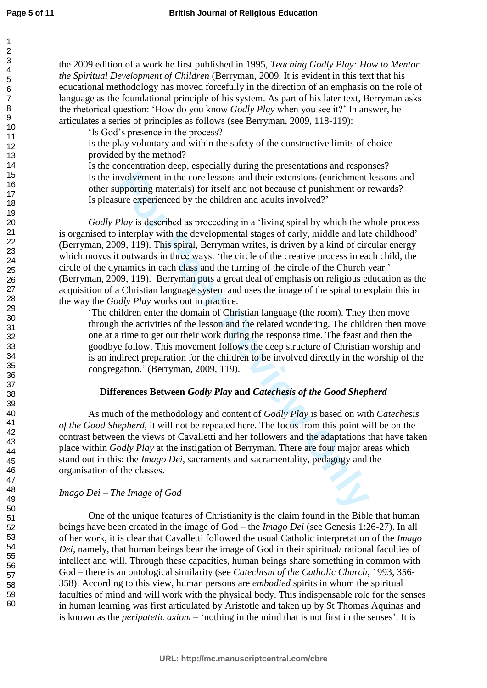the 2009 edition of a work he first published in 1995, *Teaching Godly Play: How to Mentor the Spiritual Development of Children* (Berryman, 2009. It is evident in this text that his educational methodology has moved forcefully in the direction of an emphasis on the role of language as the foundational principle of his system. As part of his later text, Berryman asks the rhetorical question: 'How do you know *Godly Play* when you see it?' In answer, he articulates a series of principles as follows (see Berryman, 2009, 118-119):

'Is God's presence in the process?

Is the play voluntary and within the safety of the constructive limits of choice provided by the method?

Is the concentration deep, especially during the presentations and responses? Is the involvement in the core lessons and their extensions (enrichment lessons and other supporting materials) for itself and not because of punishment or rewards? Is pleasure experienced by the children and adults involved?'

ivolvement in the core lessons and their extensions (enrichment<br>proporting materials) for itself and not because of punishment or ure<br>experienced by the children and adults involved?'<br>
Play is described as proceeding in a *Godly Play* is described as proceeding in a 'living spiral by which the whole process is organised to interplay with the developmental stages of early, middle and late childhood' (Berryman, 2009, 119). This spiral, Berryman writes, is driven by a kind of circular energy which moves it outwards in three ways: 'the circle of the creative process in each child, the circle of the dynamics in each class and the turning of the circle of the Church year.' (Berryman, 2009, 119). Berryman puts a great deal of emphasis on religious education as the acquisition of a Christian language system and uses the image of the spiral to explain this in the way the *Godly Play* works out in practice.

'The children enter the domain of Christian language (the room). They then move through the activities of the lesson and the related wondering. The children then move one at a time to get out their work during the response time. The feast and then the goodbye follow. This movement follows the deep structure of Christian worship and is an indirect preparation for the children to be involved directly in the worship of the congregation.' (Berryman, 2009, 119).

## **Differences Between** *Godly Play* **and** *Catechesis of the Good Shepherd*

As much of the methodology and content of *Godly Play* is based on with *Catechesis of the Good Shepherd*, it will not be repeated here. The focus from this point will be on the contrast between the views of Cavalletti and her followers and the adaptations that have taken place within *Godly Play* at the instigation of Berryman. There are four major areas which stand out in this: the *Imago Dei,* sacraments and sacramentality, pedagogy and the organisation of the classes.

## *Imago Dei – The Image of God*

One of the unique features of Christianity is the claim found in the Bible that human beings have been created in the image of God – the *Imago Dei* (see Genesis 1:26-27). In all of her work, it is clear that Cavalletti followed the usual Catholic interpretation of the *Imago Dei,* namely*,* that human beings bear the image of God in their spiritual/ rational faculties of intellect and will. Through these capacities, human beings share something in common with God – there is an ontological similarity (see *Catechism of the Catholic Church*, 1993, 356- 358). According to this view, human persons are *embodied* spirits in whom the spiritual faculties of mind and will work with the physical body. This indispensable role for the senses in human learning was first articulated by Aristotle and taken up by St Thomas Aquinas and is known as the *peripatetic axiom* – 'nothing in the mind that is not first in the senses'. It is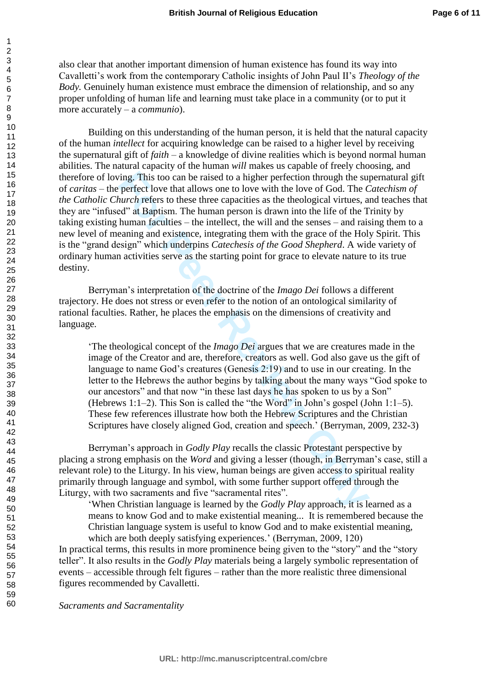also clear that another important dimension of human existence has found its way into Cavalletti's work from the contemporary Catholic insights of John Paul II's *Theology of the Body.* Genuinely human existence must embrace the dimension of relationship, and so any proper unfolding of human life and learning must take place in a community (or to put it more accurately – a *communio*).

ing. This too can be raised to a higher perfection through the sure perfect love that allows one to love with the love of God. The *church* refers to these three capacities as the theological virtues, and<sup>2</sup> at Baptism. Th Building on this understanding of the human person, it is held that the natural capacity of the human *intellect* for acquiring knowledge can be raised to a higher level by receiving the supernatural gift of *faith* – a knowledge of divine realities which is beyond normal human abilities. The natural capacity of the human *will* makes us capable of freely choosing, and therefore of loving. This too can be raised to a higher perfection through the supernatural gift of *caritas* – the perfect love that allows one to love with the love of God. The *Catechism of the Catholic Church* refers to these three capacities as the theological virtues, and teaches that they are "infused" at Baptism. The human person is drawn into the life of the Trinity by taking existing human faculties – the intellect, the will and the senses – and raising them to a new level of meaning and existence, integrating them with the grace of the Holy Spirit. This is the "grand design" which underpins *Catechesis of the Good Shepherd*. A wide variety of ordinary human activities serve as the starting point for grace to elevate nature to its true destiny.

Berryman's interpretation of the doctrine of the *Imago Dei* follows a different trajectory. He does not stress or even refer to the notion of an ontological similarity of rational faculties. Rather, he places the emphasis on the dimensions of creativity and language.

'The theological concept of the *Imago Dei* argues that we are creatures made in the image of the Creator and are, therefore, creators as well. God also gave us the gift of language to name God's creatures (Genesis 2:19) and to use in our creating. In the letter to the Hebrews the author begins by talking about the many ways "God spoke to our ancestors" and that now "in these last days he has spoken to us by a Son" (Hebrews 1:1–2). This Son is called the "the Word" in John's gospel (John 1:1–5). These few references illustrate how both the Hebrew Scriptures and the Christian Scriptures have closely aligned God, creation and speech.' (Berryman, 2009, 232-3)

Berryman's approach in *Godly Play* recalls the classic Protestant perspective by placing a strong emphasis on the *Word* and giving a lesser (though, in Berryman's case, still a relevant role) to the Liturgy. In his view, human beings are given access to spiritual reality primarily through language and symbol, with some further support offered through the Liturgy, with two sacraments and five "sacramental rites".

'When Christian language is learned by the *Godly Play* approach, it is learned as a means to know God and to make existential meaning... It is remembered because the Christian language system is useful to know God and to make existential meaning, which are both deeply satisfying experiences.' (Berryman, 2009, 120)

In practical terms, this results in more prominence being given to the "story" and the "story teller". It also results in the *Godly Play* materials being a largely symbolic representation of events – accessible through felt figures – rather than the more realistic three dimensional figures recommended by Cavalletti.

*Sacraments and Sacramentality*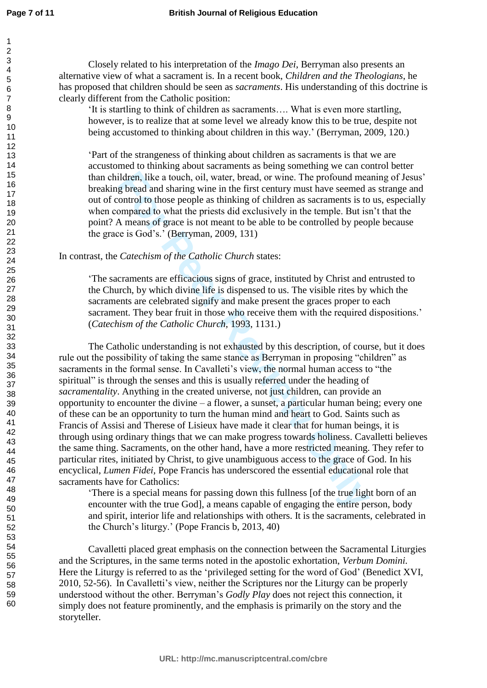Closely related to his interpretation of the *Imago Dei*, Berryman also presents an alternative view of what a sacrament is. In a recent book, *Children and the Theologians*, he has proposed that children should be seen as *sacraments*. His understanding of this doctrine is clearly different from the Catholic position:

'It is startling to think of children as sacraments…. What is even more startling, however, is to realize that at some level we already know this to be true, despite not being accustomed to thinking about children in this way.' (Berryman, 2009, 120.)

'Part of the strangeness of thinking about children as sacraments is that we are accustomed to thinking about sacraments as being something we can control better than children, like a touch, oil, water, bread, or wine. The profound meaning of Jesus' breaking bread and sharing wine in the first century must have seemed as strange and out of control to those people as thinking of children as sacraments is to us, especially when compared to what the priests did exclusively in the temple. But isn't that the point? A means of grace is not meant to be able to be controlled by people because the grace is God's.' (Berryman, 2009, 131)

In contrast, the *Catechism of the Catholic Church* states:

'The sacraments are efficacious signs of grace, instituted by Christ and entrusted to the Church, by which divine life is dispensed to us. The visible rites by which the sacraments are celebrated signify and make present the graces proper to each sacrament. They bear fruit in those who receive them with the required dispositions.' (*Catechism of the Catholic Church,* 1993, 1131.)

ildren, like a touch, oil, water, bread, or wine. The profound mead brack and sharing wine in the first century must have seemed and sharing ontrol to those popele as thinking of children as sacraments is to omtrol to thos The Catholic understanding is not exhausted by this description, of course, but it does rule out the possibility of taking the same stance as Berryman in proposing "children" as sacraments in the formal sense. In Cavalleti's view, the normal human access to "the spiritual" is through the senses and this is usually referred under the heading of *sacramentality*. Anything in the created universe, not just children, can provide an opportunity to encounter the divine – a flower, a sunset, a particular human being; every one of these can be an opportunity to turn the human mind and heart to God. Saints such as Francis of Assisi and Therese of Lisieux have made it clear that for human beings, it is through using ordinary things that we can make progress towards holiness. Cavalletti believes the same thing. Sacraments, on the other hand, have a more restricted meaning. They refer to particular rites, initiated by Christ, to give unambiguous access to the grace of God. In his encyclical, *Lumen Fidei,* Pope Francis has underscored the essential educational role that sacraments have for Catholics:

'There is a special means for passing down this fullness [of the true light born of an encounter with the true God], a means capable of engaging the entire person, body and spirit, interior life and relationships with others. It is the sacraments, celebrated in the Church's liturgy.' (Pope Francis b, 2013, 40)

Cavalletti placed great emphasis on the connection between the Sacramental Liturgies and the Scriptures, in the same terms noted in the apostolic exhortation, *Verbum Domini.* Here the Liturgy is referred to as the 'privileged setting for the word of God' (Benedict XVI, 2010, 52-56). In Cavalletti's view, neither the Scriptures nor the Liturgy can be properly understood without the other. Berryman's *Godly Play* does not reject this connection, it simply does not feature prominently, and the emphasis is primarily on the story and the storyteller.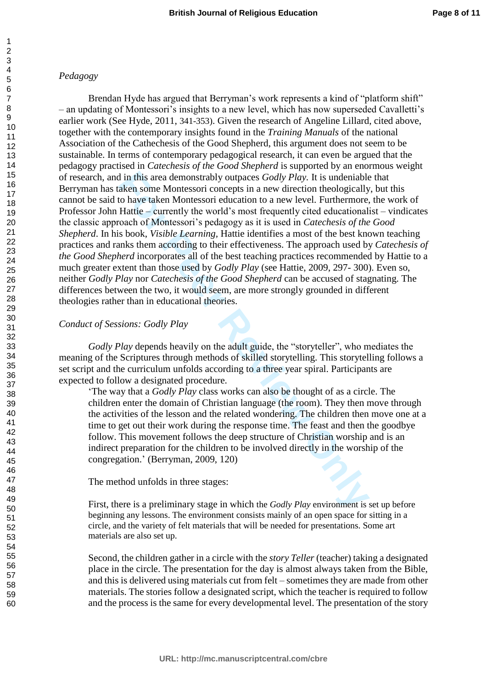# *Pedagogy*

d in this area demonstrably outpaces *Godly Play*. It is undeniable<br>aken some Montessori concepts in a new direction theologically<br>aken some Montessori colucation to a new level. Furthermore,<br>Hattie – currently the world's Brendan Hyde has argued that Berryman's work represents a kind of "platform shift" – an updating of Montessori's insights to a new level, which has now superseded Cavalletti's earlier work (See Hyde, 2011, 341-353). Given the research of Angeline Lillard, cited above, together with the contemporary insights found in the *Training Manuals* of the national Association of the Cathechesis of the Good Shepherd, this argument does not seem to be sustainable. In terms of contemporary pedagogical research, it can even be argued that the pedagogy practised in *Catechesis of the Good Shepherd* is supported by an enormous weight of research, and in this area demonstrably outpaces *Godly Play.* It is undeniable that Berryman has taken some Montessori concepts in a new direction theologically, but this cannot be said to have taken Montessori education to a new level. Furthermore, the work of Professor John Hattie – currently the world's most frequently cited educationalist – vindicates the classic approach of Montessori's pedagogy as it is used in *Catechesis of the Good Shepherd*. In his book, *Visible Learning,* Hattie identifies a most of the best known teaching practices and ranks them according to their effectiveness. The approach used by *Catechesis of the Good Shepherd* incorporates all of the best teaching practices recommended by Hattie to a much greater extent than those used by *Godly Play* (see Hattie, 2009, 297- 300). Even so, neither *Godly Play* nor *Catechesis of the Good Shepherd* can be accused of stagnating. The differences between the two, it would seem, are more strongly grounded in different theologies rather than in educational theories.

## *Conduct of Sessions: Godly Play*

*Godly Play* depends heavily on the adult guide, the "storyteller", who mediates the meaning of the Scriptures through methods of skilled storytelling. This storytelling follows a set script and the curriculum unfolds according to a three year spiral. Participants are expected to follow a designated procedure.

'The way that a *Godly Play* class works can also be thought of as a circle. The children enter the domain of Christian language (the room). They then move through the activities of the lesson and the related wondering. The children then move one at a time to get out their work during the response time. The feast and then the goodbye follow. This movement follows the deep structure of Christian worship and is an indirect preparation for the children to be involved directly in the worship of the congregation.' (Berryman, 2009, 120)

The method unfolds in three stages:

First, there is a preliminary stage in which the *Godly Play* environment is set up before beginning any lessons. The environment consists mainly of an open space for sitting in a circle, and the variety of felt materials that will be needed for presentations. Some art materials are also set up.

Second, the children gather in a circle with the *story Teller* (teacher) taking a designated place in the circle. The presentation for the day is almost always taken from the Bible, and this is delivered using materials cut from felt – sometimes they are made from other materials. The stories follow a designated script, which the teacher is required to follow and the process is the same for every developmental level. The presentation of the story

1 2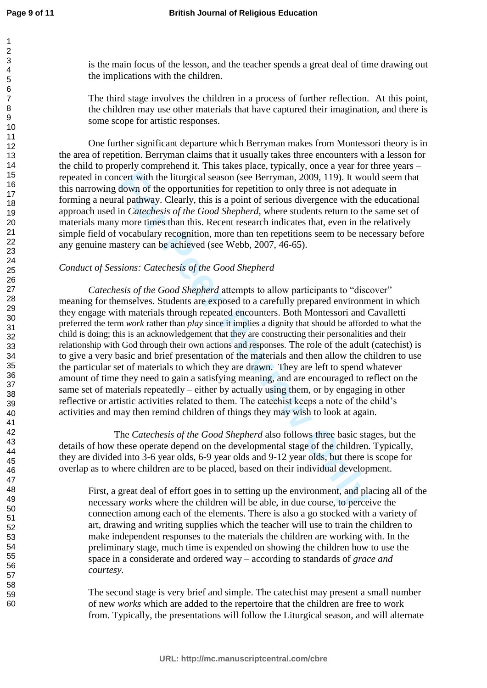is the main focus of the lesson, and the teacher spends a great deal of time drawing out the implications with the children.

The third stage involves the children in a process of further reflection. At this point, the children may use other materials that have captured their imagination, and there is some scope for artistic responses.

One further significant departure which Berryman makes from Montessori theory is in the area of repetition. Berryman claims that it usually takes three encounters with a lesson for the child to properly comprehend it. This takes place, typically, once a year for three years – repeated in concert with the liturgical season (see Berryman, 2009, 119). It would seem that this narrowing down of the opportunities for repetition to only three is not adequate in forming a neural pathway. Clearly, this is a point of serious divergence with the educational approach used in *Catechesis of the Good Shepherd*, where students return to the same set of materials many more times than this. Recent research indicates that, even in the relatively simple field of vocabulary recognition, more than ten repetitions seem to be necessary before any genuine mastery can be achieved (see Webb, 2007, 46-65).

## *Conduct of Sessions: Catechesis of the Good Shepherd*

cert with the liturgical season (see Berryman, 2009, 119). It wot<br>down of the opportunities for repetition to only three is not adee<br>al a pathway. Clearly, this is a point of serious divergence with the<br>al and al pathway. *Catechesis of the Good Shepherd* attempts to allow participants to "discover" meaning for themselves. Students are exposed to a carefully prepared environment in which they engage with materials through repeated encounters. Both Montessori and Cavalletti preferred the term *work* rather than *play* since it implies a dignity that should be afforded to what the child is doing; this is an acknowledgement that they are constructing their personalities and their relationship with God through their own actions and responses. The role of the adult (catechist) is to give a very basic and brief presentation of the materials and then allow the children to use the particular set of materials to which they are drawn. They are left to spend whatever amount of time they need to gain a satisfying meaning, and are encouraged to reflect on the same set of materials repeatedly – either by actually using them, or by engaging in other reflective or artistic activities related to them. The catechist keeps a note of the child's activities and may then remind children of things they may wish to look at again.

The *Catechesis of the Good Shepherd* also follows three basic stages, but the details of how these operate depend on the developmental stage of the children. Typically, they are divided into 3-6 year olds, 6-9 year olds and 9-12 year olds, but there is scope for overlap as to where children are to be placed, based on their individual development.

First, a great deal of effort goes in to setting up the environment, and placing all of the necessary *works* where the children will be able, in due course, to perceive the connection among each of the elements. There is also a go stocked with a variety of art, drawing and writing supplies which the teacher will use to train the children to make independent responses to the materials the children are working with. In the preliminary stage, much time is expended on showing the children how to use the space in a considerate and ordered way – according to standards of *grace and courtesy.* 

The second stage is very brief and simple. The catechist may present a small number of new *works* which are added to the repertoire that the children are free to work from. Typically, the presentations will follow the Liturgical season, and will alternate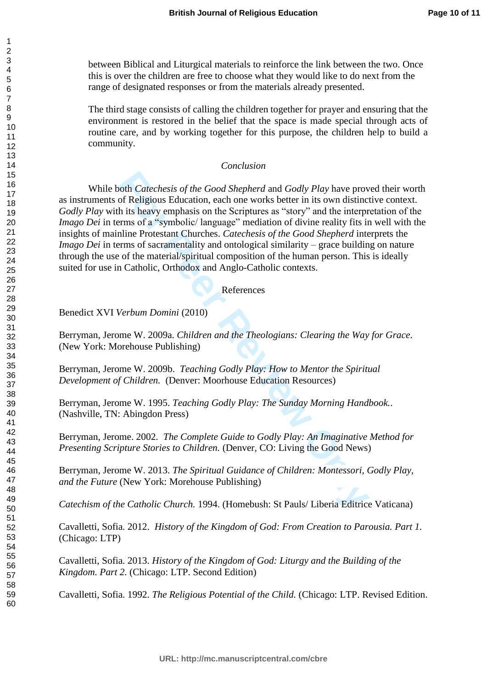between Biblical and Liturgical materials to reinforce the link between the two. Once this is over the children are free to choose what they would like to do next from the range of designated responses or from the materials already presented.

The third stage consists of calling the children together for prayer and ensuring that the environment is restored in the belief that the space is made special through acts of routine care, and by working together for this purpose, the children help to build a community.

#### *Conclusion*

**Fournalisty of the Good Shepherd and Godly Play have provided and Godly Play have proof Religious Education, each one works better in its own distinct in its heavy emphasis on the Scriptures as "story" and the interpress** While both *Catechesis of the Good Shepherd* and *Godly Play* have proved their worth as instruments of Religious Education, each one works better in its own distinctive context. *Godly Play* with its heavy emphasis on the Scriptures as "story" and the interpretation of the *Imago Dei* in terms of a "symbolic/language" mediation of divine reality fits in well with the insights of mainline Protestant Churches. *Catechesis of the Good Shepherd* interprets the *Imago Dei* in terms of sacramentality and ontological similarity – grace building on nature through the use of the material/spiritual composition of the human person. This is ideally suited for use in Catholic, Orthodox and Anglo-Catholic contexts.

#### References

Benedict XVI *Verbum Domini* (2010)

Berryman, Jerome W. 2009a. *Children and the Theologians: Clearing the Way for Grace*. (New York: Morehouse Publishing)

Berryman, Jerome W. 2009b. *Teaching Godly Play: How to Mentor the Spiritual Development of Children.* (Denver: Moorhouse Education Resources)

Berryman, Jerome W. 1995. *Teaching Godly Play: The Sunday Morning Handbook.*. (Nashville, TN: Abingdon Press)

Berryman, Jerome. 2002. *The Complete Guide to Godly Play: An Imaginative Method for Presenting Scripture Stories to Children.* (Denver, CO: Living the Good News)

Berryman, Jerome W. 2013. *The Spiritual Guidance of Children: Montessori, Godly Play, and the Future* (New York: Morehouse Publishing)

*Catechism of the Catholic Church.* 1994. (Homebush: St Pauls/ Liberia Editrice Vaticana)

Cavalletti, Sofia. 2012. *History of the Kingdom of God: From Creation to Parousia. Part 1.*  (Chicago: LTP)

Cavalletti, Sofia. 2013. *History of the Kingdom of God: Liturgy and the Building of the Kingdom. Part 2.* (Chicago: LTP. Second Edition)

Cavalletti, Sofia. 1992. *The Religious Potential of the Child.* (Chicago: LTP. Revised Edition.